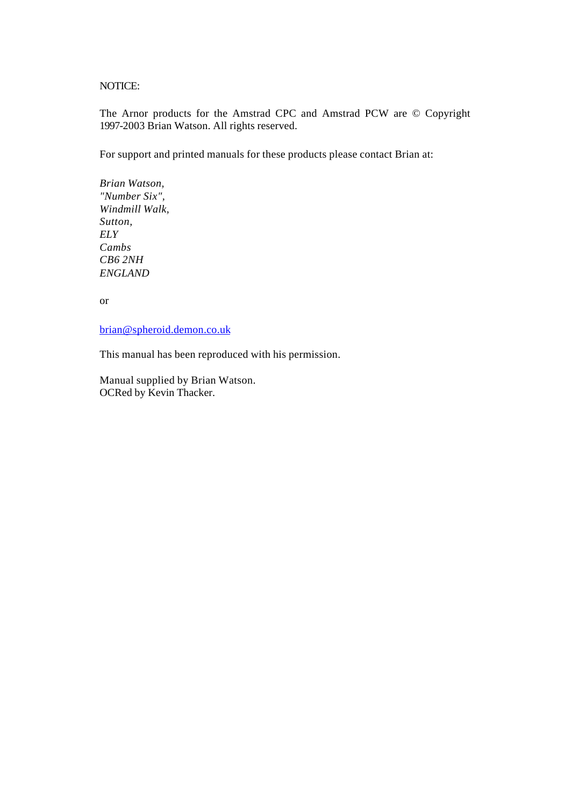NOTICE:

The Arnor products for the Amstrad CPC and Amstrad PCW are © Copyright 1997-2003 Brian Watson. All rights reserved.

For support and printed manuals for these products please contact Brian at:

*Brian Watson, "Number Six", Windmill Walk, Sutton, ELY Cambs CB6 2NH ENGLAND*

or

brian@spheroid.demon.co.uk

This manual has been reproduced with his permission.

Manual supplied by Brian Watson. OCRed by Kevin Thacker.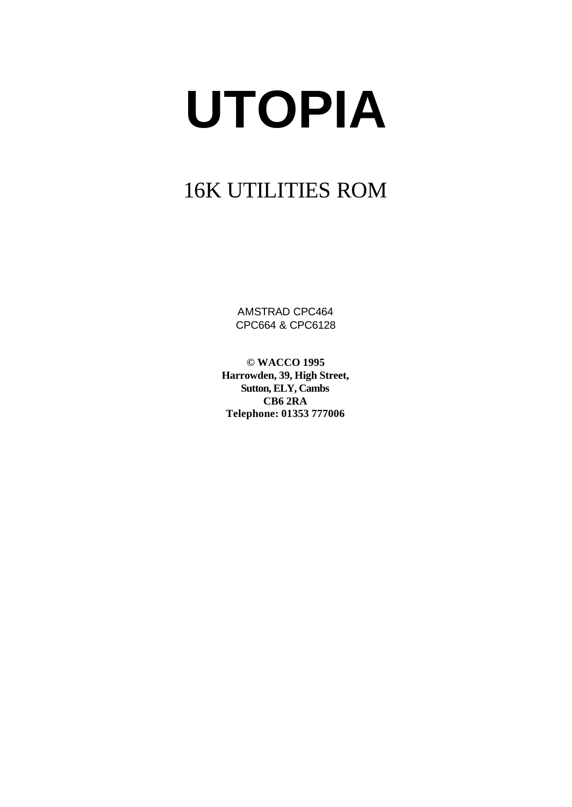# **UTOPIA**

# 16K UTILITIES ROM

AMSTRAD CPC464 CPC664 & CPC6128

**© WACCO 1995 Harrowden, 39, High Street, Sutton, ELY, Cambs CB6 2RA Telephone: 01353 777006**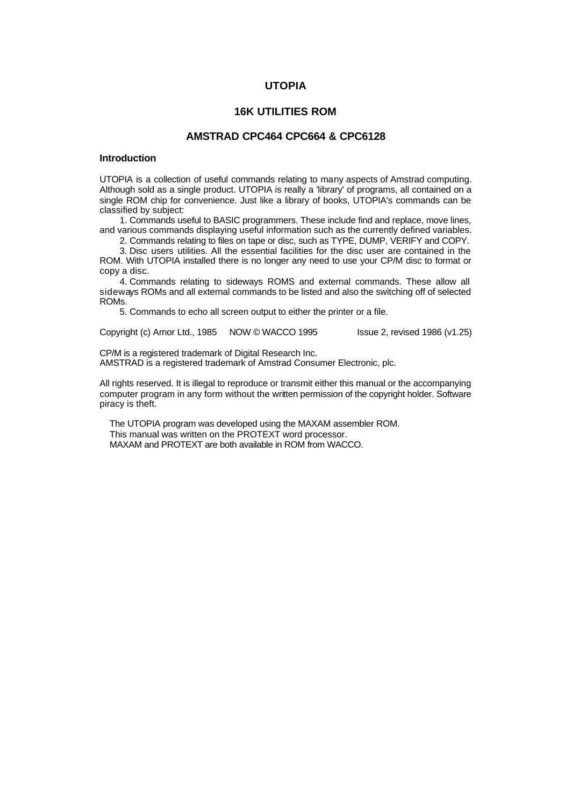# **UTOPIA**

# **16K UTILITIES ROM**

# **AMSTRAD CPC464 CPC664 & CPC6128**

# **Introduction**

UTOPIA is a collection of useful commands relating to many aspects of Amstrad computing. Although sold as a single product. UTOPIA is really a 'library' of programs, all contained on a single ROM chip for convenience. Just like a library of books, UTOPIA's commands can be classified by subject:

1. Commands useful to BASIC programmers. These include find and replace, move lines, and various commands displaying useful information such as the currently defined variables.

2. Commands relating to files on tape or disc, such as TYPE, DUMP, VERIFY and COPY.

3. Disc users utilities. All the essential facilities for the disc user are contained in the ROM. With UTOPIA installed there is no longer any need to use your CP/M disc to format or copy a disc.

4. Commands relating to sideways ROMS and external commands. These allow all sideways ROMs and all external commands to be listed and also the switching off of selected ROMs.

5. Commands to echo all screen output to either the printer or a file.

Copyright (c) Arnor Ltd., 1985 NOW © WACCO 1995 Issue 2, revised 1986 (v1.25)

CP/M is a registered trademark of Digital Research Inc.

AMSTRAD is a registered trademark of Amstrad Consumer Electronic, plc.

All rights reserved. It is illegal to reproduce or transmit either this manual or the accompanying computer program in any form without the written permission of the copyright holder. Software piracy is theft.

The UTOPIA program was developed using the MAXAM assembler ROM. This manual was written on the PROTEXT word processor. MAXAM and PROTEXT are both available in ROM from WACCO.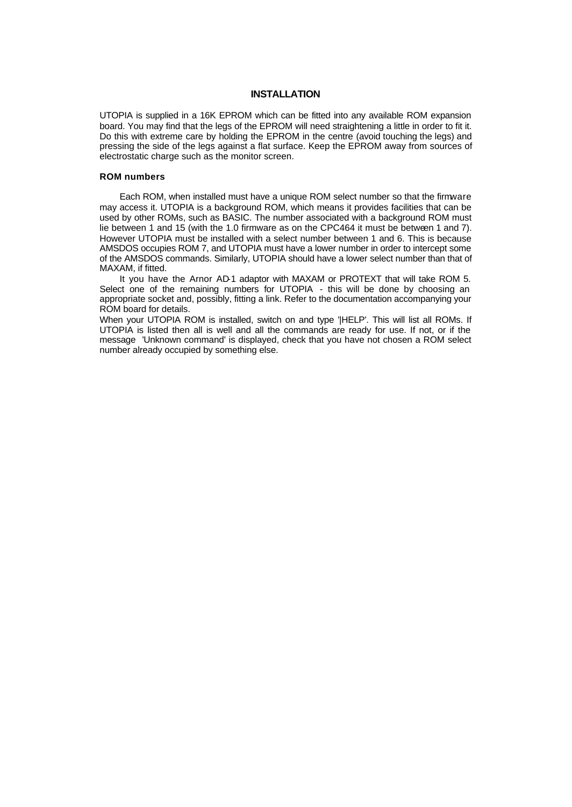# **INSTALLATION**

UTOPIA is supplied in a 16K EPROM which can be fitted into any available ROM expansion board. You may find that the legs of the EPROM will need straightening a little in order to fit it. Do this with extreme care by holding the EPROM in the centre (avoid touching the legs) and pressing the side of the legs against a flat surface. Keep the EPROM away from sources of electrostatic charge such as the monitor screen.

#### **ROM numbers**

Each ROM, when installed must have a unique ROM select number so that the firmware may access it. UTOPIA is a background ROM, which means it provides facilities that can be used by other ROMs, such as BASIC. The number associated with a background ROM must lie between 1 and 15 (with the 1.0 firmware as on the CPC464 it must be between 1 and 7). However UTOPIA must be installed with a select number between 1 and 6. This is because AMSDOS occupies ROM 7, and UTOPIA must have a lower number in order to intercept some of the AMSDOS commands. Similarly, UTOPIA should have a lower select number than that of MAXAM, if fitted.

It you have the Arnor AD-1 adaptor with MAXAM or PROTEXT that will take ROM 5. Select one of the remaining numbers for UTOPIA - this will be done by choosing an appropriate socket and, possibly, fitting a link. Refer to the documentation accompanying your ROM board for details.

When your UTOPIA ROM is installed, switch on and type '|HELP'. This will list all ROMs. If UTOPIA is listed then all is well and all the commands are ready for use. If not, or if the message 'Unknown command' is displayed, check that you have not chosen a ROM select number already occupied by something else.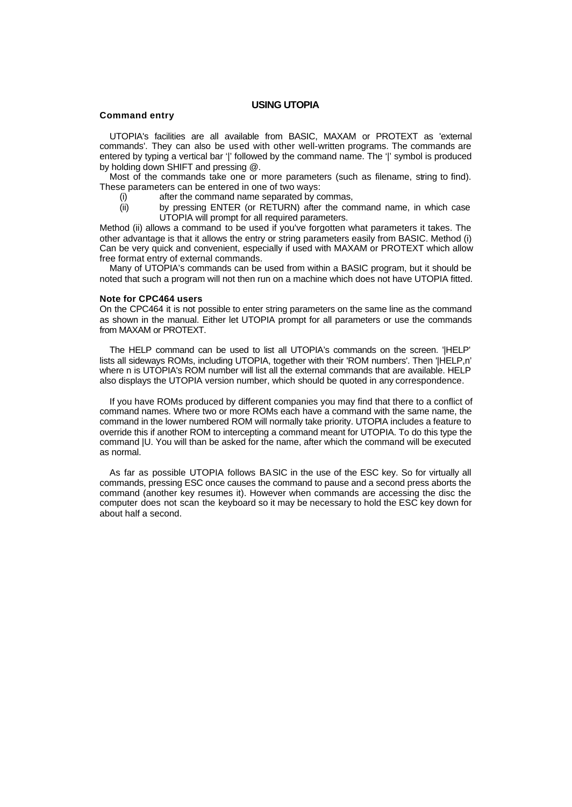# **USING UTOPIA**

#### **Command entry**

UTOPIA's facilities are all available from BASIC, MAXAM or PROTEXT as 'external commands'. They can also be used with other well-written programs. The commands are entered by typing a vertical bar '|' followed by the command name. The '|' symbol is produced by holding down SHIFT and pressing @.

Most of the commands take one or more parameters (such as filename, string to find). These parameters can be entered in one of two ways:

- (i) after the command name separated by commas,
- (ii) by pressing ENTER (or RETURN) after the command name, in which case UTOPIA will prompt for all required parameters.

Method (ii) allows a command to be used if you've forgotten what parameters it takes. The other advantage is that it allows the entry or string parameters easily from BASIC. Method (i) Can be very quick and convenient, especially if used with MAXAM or PROTEXT which allow free format entry of external commands.

Many of UTOPIA's commands can be used from within a BASIC program, but it should be noted that such a program will not then run on a machine which does not have UTOPIA fitted.

#### **Note for CPC464 users**

On the CPC464 it is not possible to enter string parameters on the same line as the command as shown in the manual. Either let UTOPIA prompt for all parameters or use the commands from MAXAM or PROTEXT.

The HELP command can be used to list all UTOPIA's commands on the screen. '|HELP' lists all sideways ROMs, including UTOPIA, together with their 'ROM numbers'. Then 'IHELP,n' where n is UTOPIA's ROM number will list all the external commands that are available. HELP also displays the UTOPIA version number, which should be quoted in any correspondence.

If you have ROMs produced by different companies you may find that there to a conflict of command names. Where two or more ROMs each have a command with the same name, the command in the lower numbered ROM will normally take priority. UTOPIA includes a feature to override this if another ROM to intercepting a command meant for UTOPIA. To do this type the command |U. You will than be asked for the name, after which the command will be executed as normal.

As far as possible UTOPIA follows BASIC in the use of the ESC key. So for virtually all commands, pressing ESC once causes the command to pause and a second press aborts the command (another key resumes it). However when commands are accessing the disc the computer does not scan the keyboard so it may be necessary to hold the ESC key down for about half a second.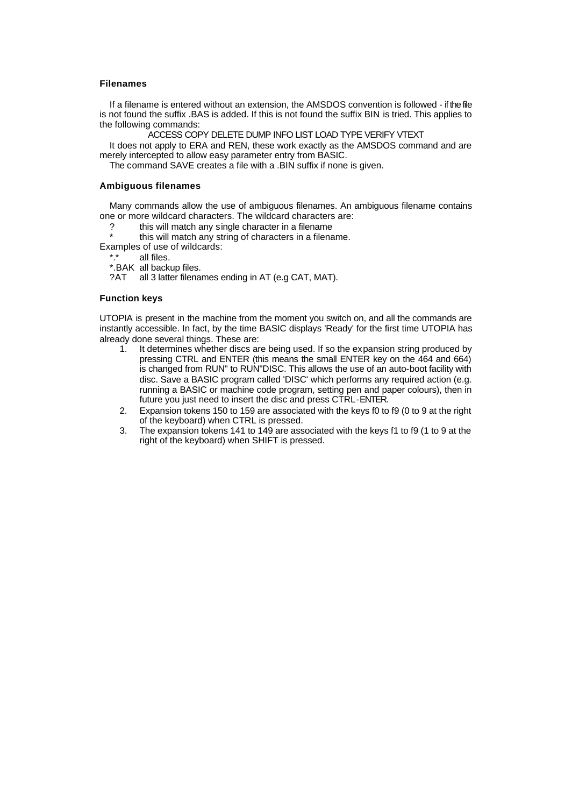#### **Filenames**

If a filename is entered without an extension, the AMSDOS convention is followed - if the file is not found the suffix .BAS is added. If this is not found the suffix BIN is tried. This applies to the following commands:

ACCESS COPY DELETE DUMP INFO LIST LOAD TYPE VERIFY VTEXT

It does not apply to ERA and REN, these work exactly as the AMSDOS command and are merely intercepted to allow easy parameter entry from BASIC.

The command SAVE creates a file with a .BIN suffix if none is given.

#### **Ambiguous filenames**

Many commands allow the use of ambiguous filenames. An ambiguous filename contains one or more wildcard characters. The wildcard characters are:

? this will match any single character in a filename

this will match any string of characters in a filename.

Examples of use of wildcards:

\*.\* all files.

\*.BAK all backup files.

?AT all 3 latter filenames ending in AT (e.g CAT, MAT).

#### **Function keys**

UTOPIA is present in the machine from the moment you switch on, and all the commands are instantly accessible. In fact, by the time BASIC displays 'Ready' for the first time UTOPIA has already done several things. These are:

- 1. It determines whether discs are being used. If so the expansion string produced by pressing CTRL and ENTER (this means the small ENTER key on the 464 and 664) is changed from RUN" to RUN"DISC. This allows the use of an auto-boot facility with disc. Save a BASIC program called 'DISC' which performs any required action (e.g. running a BASIC or machine code program, setting pen and paper colours), then in future you just need to insert the disc and press CTRL-ENTER.
- 2. Expansion tokens 150 to 159 are associated with the keys f0 to f9 (0 to 9 at the right of the keyboard) when CTRL is pressed.
- 3. The expansion tokens 141 to 149 are associated with the keys f1 to f9 (1 to 9 at the right of the keyboard) when SHIFT is pressed.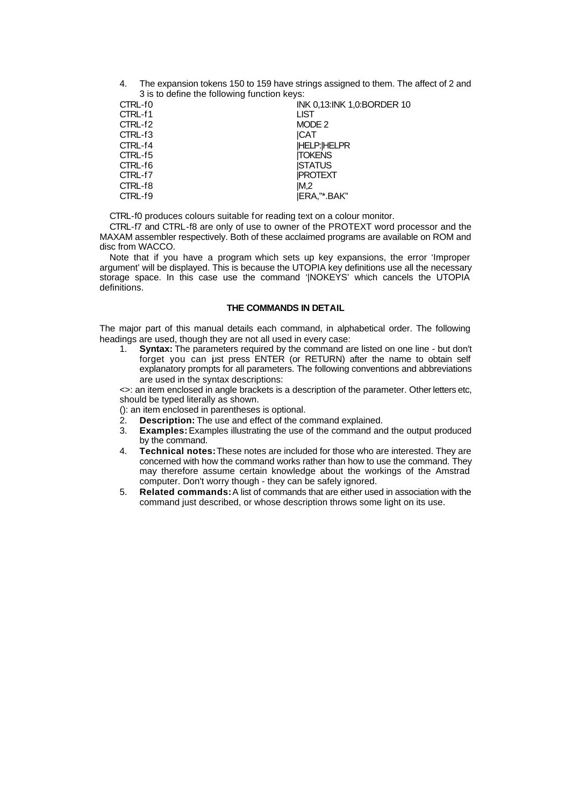4. The expansion tokens 150 to 159 have strings assigned to them. The affect of 2 and 3 is to define the following function keys:

| CTRL-f0<br>CTRL-f1<br><b>LIST</b><br>CTRL-f2<br>MODE 2<br>CTRL-f3<br>ICAT<br><b>HELP: HELPR</b><br>CTRL-f4<br><b>ITOKENS</b><br>CTRL-f5<br><b>ISTATUS</b><br>CTRL-f6<br><b>IPROTEXT</b><br>CTRL-f7<br>CTRL-f8<br>IM.2<br>IERA."*.BAK"<br>CTRL-f9 | INK 0.13:INK 1.0:BORDER 10 |
|--------------------------------------------------------------------------------------------------------------------------------------------------------------------------------------------------------------------------------------------------|----------------------------|
|--------------------------------------------------------------------------------------------------------------------------------------------------------------------------------------------------------------------------------------------------|----------------------------|

CTRL-f0 produces colours suitable for reading text on a colour monitor.

CTRL-f7 and CTRL-f8 are only of use to owner of the PROTEXT word processor and the MAXAM assembler respectively. Both of these acclaimed programs are available on ROM and disc from WACCO.

Note that if you have a program which sets up key expansions, the error 'Improper argument' will be displayed. This is because the UTOPIA key definitions use all the necessary storage space. In this case use the command '|NOKEYS' which cancels the UTOPIA definitions.

# **THE COMMANDS IN DETAIL**

The major part of this manual details each command, in alphabetical order. The following headings are used, though they are not all used in every case:

1. **Syntax:** The parameters required by the command are listed on one line - but don't forget you can just press ENTER (or RETURN) after the name to obtain self explanatory prompts for all parameters. The following conventions and abbreviations are used in the syntax descriptions:

<>: an item enclosed in angle brackets is a description of the parameter. Other letters etc, should be typed literally as shown.

- (): an item enclosed in parentheses is optional.
- 2. **Description:** The use and effect of the command explained.
- 3. **Examples:** Examples illustrating the use of the command and the output produced by the command.
- 4. **Technical notes:** These notes are included for those who are interested. They are concerned with how the command works rather than how to use the command. They may therefore assume certain knowledge about the workings of the Amstrad computer. Don't worry though - they can be safely ignored.
- 5. **Related commands:** A list of commands that are either used in association with the command just described, or whose description throws some light on its use.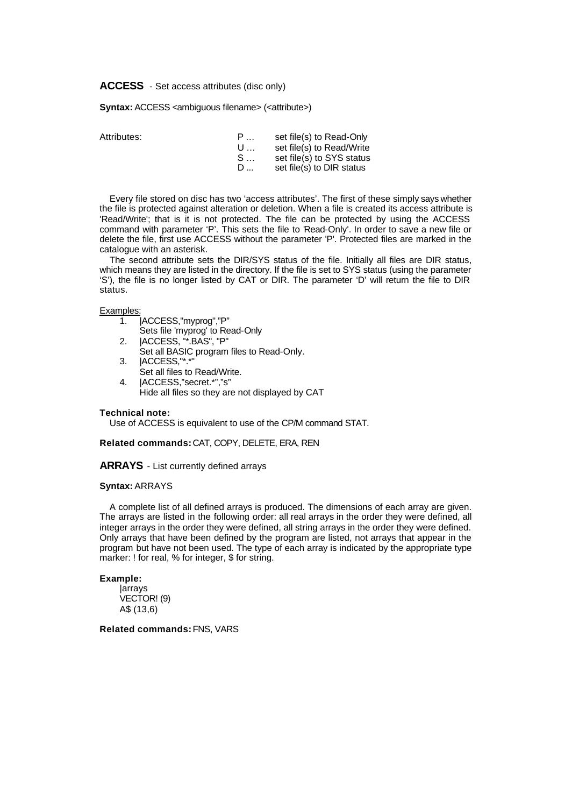**ACCESS** - Set access attributes (disc only)

**Syntax:** ACCESS <ambiguous filename> (<attribute>)

Attributes:

| — Р., . | set file(s) to Read-Only  |
|---------|---------------------------|
| U       | set file(s) to Read/Write |
| S       | set file(s) to SYS status |
| D       | set file(s) to DIR status |

Every file stored on disc has two 'access attributes'. The first of these simply says whether the file is protected against alteration or deletion. When a file is created its access attribute is 'Read/Write'; that is it is not protected. The file can be protected by using the ACCESS command with parameter 'P'. This sets the file to 'Read-Only'. In order to save a new file or delete the file, first use ACCESS without the parameter 'P'. Protected files are marked in the catalogue with an asterisk.

The second attribute sets the DIR/SYS status of the file. Initially all files are DIR status, which means they are listed in the directory. If the file is set to SYS status (using the parameter 'S'), the file is no longer listed by CAT or DIR. The parameter 'D' will return the file to DIR status.

# Examples:

- 1. |ACCESS,"myprog","P"
	- Sets file 'myprog' to Read-Only
- 2. |ACCESS, "\*.BAS", "P"
- Set all BASIC program files to Read-Only.
- 3. | ACCESS,"\*.\*
	- Set all files to Read/Write.
- 4. |ACCESS,"secret.\*","s"
	- Hide all files so they are not displayed by CAT

# **Technical note:**

Use of ACCESS is equivalent to use of the CP/M command STAT.

**Related commands:** CAT, COPY, DELETE, ERA, REN

**ARRAYS** - List currently defined arrays

#### **Syntax:** ARRAYS

A complete list of all defined arrays is produced. The dimensions of each array are given. The arrays are listed in the following order: all real arrays in the order they were defined, all integer arrays in the order they were defined, all string arrays in the order they were defined. Only arrays that have been defined by the program are listed, not arrays that appear in the program but have not been used. The type of each array is indicated by the appropriate type marker: ! for real, % for integer, \$ for string.

# **Example:**

|arrays VECTOR! (9) A\$ (13,6)

**Related commands:** FNS, VARS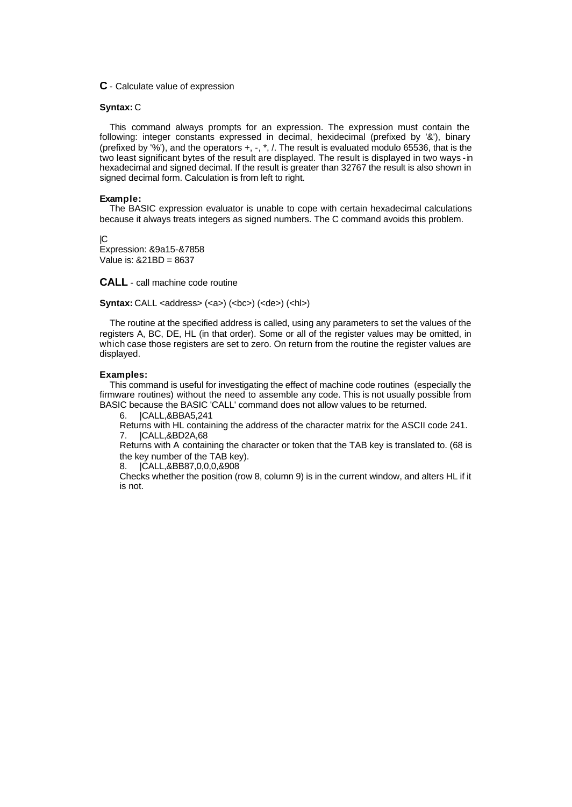# **C** - Calculate value of expression

#### **Syntax:** C

This command always prompts for an expression. The expression must contain the following: integer constants expressed in decimal, hexidecimal (prefixed by '&'), binary (prefixed by '%'), and the operators  $+, -, *, /$ . The result is evaluated modulo 65536, that is the two least significant bytes of the result are displayed. The result is displayed in two ways - in hexadecimal and signed decimal. If the result is greater than 32767 the result is also shown in signed decimal form. Calculation is from left to right.

#### **Example:**

The BASIC expression evaluator is unable to cope with certain hexadecimal calculations because it always treats integers as signed numbers. The C command avoids this problem.

 $\Gamma$ Expression: &9a15-&7858 Value is: &21BD = 8637

**CALL** - call machine code routine

**Syntax:** CALL <address> (<a>) (<br/> (<br/>cbc>) (<de>) (<hl>)

The routine at the specified address is called, using any parameters to set the values of the registers A, BC, DE, HL (in that order). Some or all of the register values may be omitted, in which case those registers are set to zero. On return from the routine the register values are displayed.

# **Examples:**

This command is useful for investigating the effect of machine code routines (especially the firmware routines) without the need to assemble any code. This is not usually possible from BASIC because the BASIC 'CALL' command does not allow values to be returned.

6. |CALL,&BBA5,241

Returns with HL containing the address of the character matrix for the ASCII code 241. 7. |CALL,&BD2A,68

Returns with A containing the character or token that the TAB key is translated to. (68 is the key number of the TAB key).

8. |CALL,&BB87,0,0,0,&908

Checks whether the position (row 8, column 9) is in the current window, and alters HL if it is not.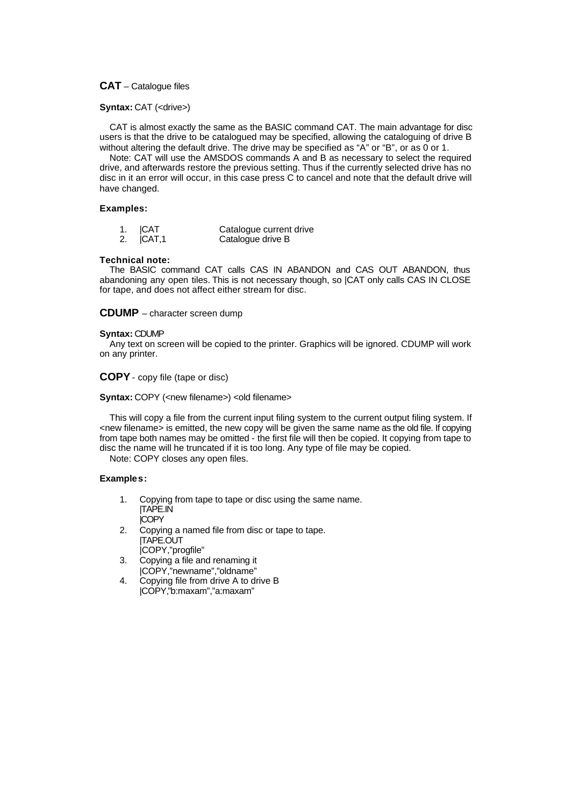# **CAT** – Catalogue files

# **Syntax: CAT (<drive>)**

CAT is almost exactly the same as the BASIC command CAT. The main advantage for disc users is that the drive to be catalogued may be specified, allowing the cataloguing of drive B without altering the default drive. The drive may be specified as "A" or "B", or as 0 or 1.

Note: CAT will use the AMSDOS commands A and B as necessary to select the required drive, and afterwards restore the previous setting. Thus if the currently selected drive has no disc in it an error will occur, in this case press C to cancel and note that the default drive will have changed.

# **Examples:**

| 1. ICAT |  | Catalogue current drive |
|---------|--|-------------------------|
|         |  |                         |

2. **ICAT.1** Catalogue drive B

# **Technical note:**

The BASIC command CAT calls CAS IN ABANDON and CAS OUT ABANDON, thus abandoning any open tiles. This is not necessary though, so |CAT only calls CAS IN CLOSE for tape, and does not affect either stream for disc.

# **CDUMP** – character screen dump

# **Syntax:** CDUMP

Any text on screen will be copied to the printer. Graphics will be ignored. CDUMP will work on any printer.

**COPY**- copy file (tape or disc)

**Syntax:** COPY (<new filename>) <old filename>

This will copy a file from the current input filing system to the current output filing system. If <new filename> is emitted, the new copy will be given the same name as the old file. If copying from tape both names may be omitted - the first file will then be copied. It copying from tape to disc the name will he truncated if it is too long. Any type of file may be copied.

Note: COPY closes any open files.

#### **Examples:**

- 1. Copying from tape to tape or disc using the same name. |TAPE.IN |COPY
- 2. Copying a named file from disc or tape to tape. |TAPE.OUT
- |COPY,"progfile" 3. Copying a file and renaming it
- |COPY,"newname","oldname"
- 4. Copying file from drive A to drive B |COPY,"b:maxam","a:maxam"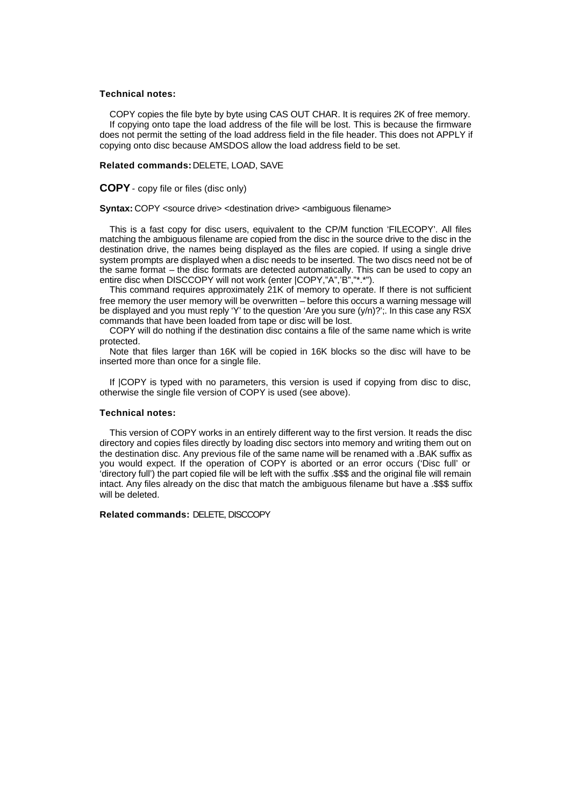#### **Technical notes:**

COPY copies the file byte by byte using CAS OUT CHAR. It is requires 2K of free memory. If copying onto tape the load address of the file will be lost. This is because the firmware does not permit the setting of the load address field in the file header. This does not APPLY if copying onto disc because AMSDOS allow the load address field to be set.

#### **Related commands:** DELETE, LOAD, SAVE

**COPY**- copy file or files (disc only)

**Syntax:** COPY <source drive> <destination drive> <ambiguous filename>

This is a fast copy for disc users, equivalent to the CP/M function 'FILECOPY'. All files matching the ambiguous filename are copied from the disc in the source drive to the disc in the destination drive, the names being displayed as the files are copied. If using a single drive system prompts are displayed when a disc needs to be inserted. The two discs need not be of the same format – the disc formats are detected automatically. This can be used to copy an entire disc when DISCCOPY will not work (enter |COPY,"A",'B","\*.\*").

This command requires approximately 21K of memory to operate. If there is not sufficient free memory the user memory will be overwritten – before this occurs a warning message will be displayed and you must reply 'Y' to the question 'Are you sure (y/n)?';. In this case any RSX commands that have been loaded from tape or disc will be lost.

COPY will do nothing if the destination disc contains a file of the same name which is write protected.

Note that files larger than 16K will be copied in 16K blocks so the disc will have to be inserted more than once for a single file.

If |COPY is typed with no parameters, this version is used if copying from disc to disc, otherwise the single file version of COPY is used (see above).

# **Technical notes:**

This version of COPY works in an entirely different way to the first version. It reads the disc directory and copies files directly by loading disc sectors into memory and writing them out on the destination disc. Any previous file of the same name will be renamed with a .BAK suffix as you would expect. If the operation of COPY is aborted or an error occurs ('Disc full' or 'directory full') the part copied file will be left with the suffix .\$\$\$ and the original file will remain intact. Any files already on the disc that match the ambiguous filename but have a .\$\$\$ suffix will be deleted.

#### **Related commands:** DELETE, DISCCOPY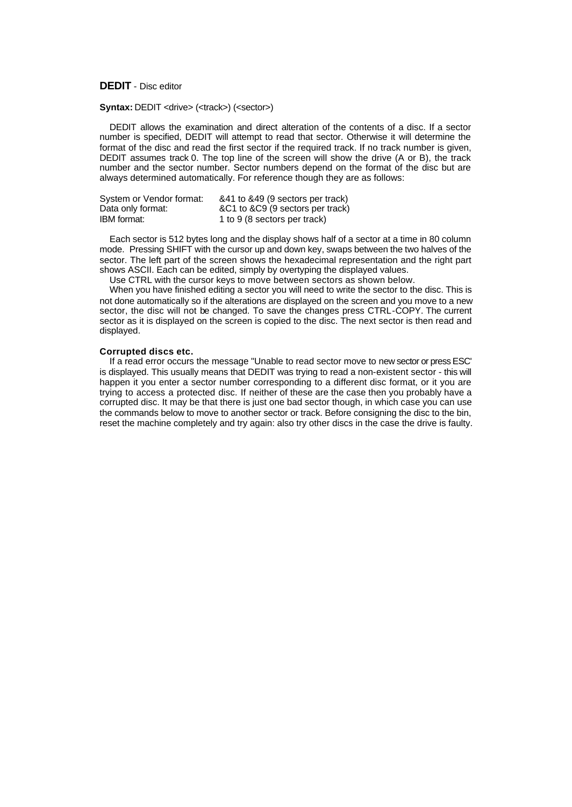# **DEDIT** - Disc editor

# **Syntax: DEDIT** <drive> (<track>) (<sector>)

DEDIT allows the examination and direct alteration of the contents of a disc. If a sector number is specified, DEDIT will attempt to read that sector. Otherwise it will determine the format of the disc and read the first sector if the required track. If no track number is given, DEDIT assumes track 0. The top line of the screen will show the drive (A or B), the track number and the sector number. Sector numbers depend on the format of the disc but are always determined automatically. For reference though they are as follows:

| System or Vendor format: | &41 to &49 (9 sectors per track) |
|--------------------------|----------------------------------|
| Data only format:        | &C1 to &C9 (9 sectors per track) |
| <b>IBM</b> format:       | 1 to 9 (8 sectors per track)     |

Each sector is 512 bytes long and the display shows half of a sector at a time in 80 column mode. Pressing SHIFT with the cursor up and down key, swaps between the two halves of the sector. The left part of the screen shows the hexadecimal representation and the right part shows ASCII. Each can be edited, simply by overtyping the displayed values.

Use CTRL with the cursor keys to move between sectors as shown below.

When you have finished editing a sector you will need to write the sector to the disc. This is not done automatically so if the alterations are displayed on the screen and you move to a new sector, the disc will not be changed. To save the changes press CTRL-COPY. The current sector as it is displayed on the screen is copied to the disc. The next sector is then read and displayed.

#### **Corrupted discs etc.**

If a read error occurs the message "Unable to read sector move to new sector or press ESC' is displayed. This usually means that DEDIT was trying to read a non-existent sector - this will happen it you enter a sector number corresponding to a different disc format, or it you are trying to access a protected disc. If neither of these are the case then you probably have a corrupted disc. It may be that there is just one bad sector though, in which case you can use the commands below to move to another sector or track. Before consigning the disc to the bin, reset the machine completely and try again: also try other discs in the case the drive is faulty.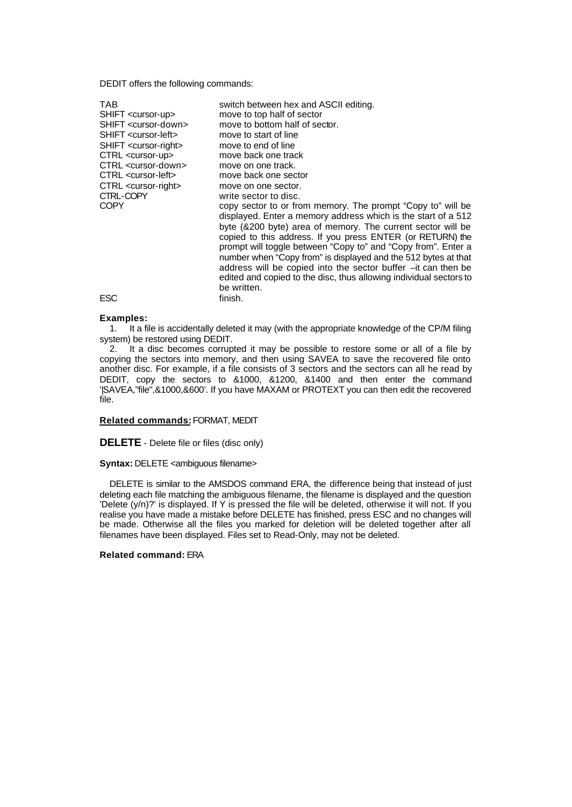DEDIT offers the following commands:

| TAB                                 | switch between hex and ASCII editing.                                                                                                                                                      |
|-------------------------------------|--------------------------------------------------------------------------------------------------------------------------------------------------------------------------------------------|
| SHIFT <cursor-up></cursor-up>       | move to top half of sector                                                                                                                                                                 |
| SHIFT <cursor-down></cursor-down>   | move to bottom half of sector.                                                                                                                                                             |
| SHIFT <cursor-left></cursor-left>   | move to start of line                                                                                                                                                                      |
| SHIFT <cursor-right></cursor-right> | move to end of line                                                                                                                                                                        |
| CTRL <cursor-up></cursor-up>        | move back one track                                                                                                                                                                        |
| CTRL <cursor-down></cursor-down>    | move on one track.                                                                                                                                                                         |
| CTRL <cursor-left></cursor-left>    | move back one sector                                                                                                                                                                       |
| CTRL <cursor-right></cursor-right>  | move on one sector.                                                                                                                                                                        |
| CTRL-COPY                           | write sector to disc.                                                                                                                                                                      |
| <b>COPY</b>                         | copy sector to or from memory. The prompt "Copy to" will be<br>displayed. Enter a memory address which is the start of a 512                                                               |
|                                     | byte (&200 byte) area of memory. The current sector will be<br>copied to this address. If you press ENTER (or RETURN) the<br>prompt will toggle between "Copy to" and "Copy from". Enter a |
|                                     | number when "Copy from" is displayed and the 512 bytes at that<br>address will be copied into the sector buffer -it can then be                                                            |
|                                     | edited and copied to the disc, thus allowing individual sectors to<br>be written.                                                                                                          |
|                                     |                                                                                                                                                                                            |
| ESC                                 | finish.                                                                                                                                                                                    |

#### **Examples:**

1. It a file is accidentally deleted it may (with the appropriate knowledge of the CP/M filing system) be restored using DEDIT.

2. It a disc becomes corrupted it may be possible to restore some or all of a file by copying the sectors into memory, and then using SAVEA to save the recovered file onto another disc. For example, if a file consists of 3 sectors and the sectors can all he read by DEDIT, copy the sectors to &1000, &1200, &1400 and then enter the command '|SAVEA,"file",&1000,&600'. If you have MAXAM or PROTEXT you can then edit the recovered file.

# **Related commands:** FORMAT, MEDIT

**DELETE** - Delete file or files (disc only)

**Syntax: DELETE <ambiguous filename>** 

DELETE is similar to the AMSDOS command ERA, the difference being that instead of just deleting each file matching the ambiguous filename, the filename is displayed and the question 'Delete (y/n)?' is displayed. If Y is pressed the file will be deleted, otherwise it will not. If you realise you have made a mistake before DELETE has finished, press ESC and no changes will be made. Otherwise all the files you marked for deletion will be deleted together after all filenames have been displayed. Files set to Read-Only, may not be deleted.

# **Related command:** ERA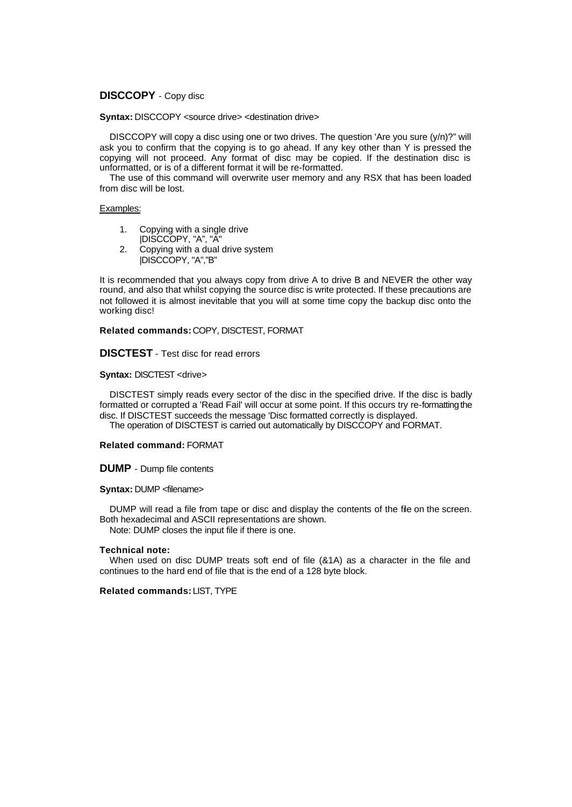# **DISCCOPY** - Copy disc

**Syntax: DISCCOPY <source drive> <destination drive>** 

DISCCOPY will copy a disc using one or two drives. The question 'Are you sure (y/n)?" will ask you to confirm that the copying is to go ahead. If any key other than Y is pressed the copying will not proceed. Any format of disc may be copied. If the destination disc is unformatted, or is of a different format it will be re-formatted.

The use of this command will overwrite user memory and any RSX that has been loaded from disc will be lost.

# Examples:

- 1. Copying with a single drive
- |DISCCOPY, "A", "A"
- 2. Copying with a dual drive system |DISCCOPY, "A","B"

It is recommended that you always copy from drive A to drive B and NEVER the other way round, and also that whilst copying the source disc is write protected. If these precautions are not followed it is almost inevitable that you will at some time copy the backup disc onto the working disc!

**Related commands:** COPY, DISCTEST, FORMAT

**DISCTEST** - Test disc for read errors

# **Syntax: DISCTEST <drive>**

DISCTEST simply reads every sector of the disc in the specified drive. If the disc is badly formatted or corrupted a 'Read Fail' will occur at some point. If this occurs try re-formatting the disc. If DISCTEST succeeds the message 'Disc formatted correctly is displayed.

The operation of DISCTEST is carried out automatically by DISCCOPY and FORMAT.

# **Related command:** FORMAT

**DUMP** - Dump file contents

#### **Syntax:** DUMP <filename>

DUMP will read a file from tape or disc and display the contents of the file on the screen. Both hexadecimal and ASCII representations are shown. Note: DUMP closes the input file if there is one.

#### **Technical note:**

When used on disc DUMP treats soft end of file (&1A) as a character in the file and continues to the hard end of file that is the end of a 128 byte block.

**Related commands:** LIST, TYPE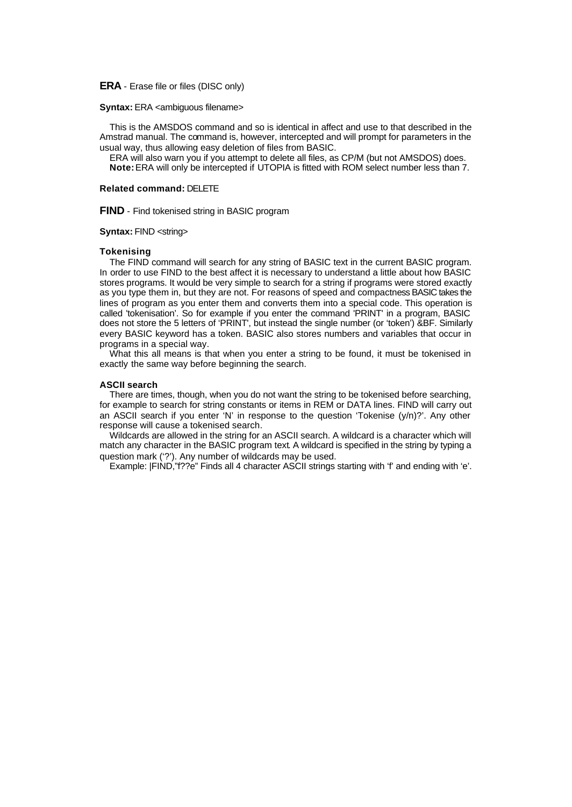# **ERA** - Erase file or files (DISC only)

#### **Syntax:** ERA <ambiguous filename>

This is the AMSDOS command and so is identical in affect and use to that described in the Amstrad manual. The command is, however, intercepted and will prompt for parameters in the usual way, thus allowing easy deletion of files from BASIC.

ERA will also warn you if you attempt to delete all files, as CP/M (but not AMSDOS) does. **Note:** ERA will only be intercepted if UTOPIA is fitted with ROM select number less than 7.

# **Related command:** DELETE

**FIND** - Find tokenised string in BASIC program

#### **Syntax:** FIND <string>

#### **Tokenising**

The FIND command will search for any string of BASIC text in the current BASIC program. In order to use FIND to the best affect it is necessary to understand a little about how BASIC stores programs. It would be very simple to search for a string if programs were stored exactly as you type them in, but they are not. For reasons of speed and compactness BASIC takes the lines of program as you enter them and converts them into a special code. This operation is called 'tokenisation'. So for example if you enter the command 'PRINT' in a program, BASIC does not store the 5 letters of 'PRINT', but instead the single number (or 'token') &BF. Similarly every BASIC keyword has a token. BASIC also stores numbers and variables that occur in programs in a special way.

What this all means is that when you enter a string to be found, it must be tokenised in exactly the same way before beginning the search.

#### **ASCII search**

There are times, though, when you do not want the string to be tokenised before searching, for example to search for string constants or items in REM or DATA lines. FIND will carry out an ASCII search if you enter 'N' in response to the question 'Tokenise  $(y/n)$ ?'. Any other response will cause a tokenised search.

Wildcards are allowed in the string for an ASCII search. A wildcard is a character which will match any character in the BASIC program text. A wildcard is specified in the string by typing a question mark ('?'). Any number of wildcards may be used.

Example: |FIND,"f??e" Finds all 4 character ASCII strings starting with 'f' and ending with 'e'.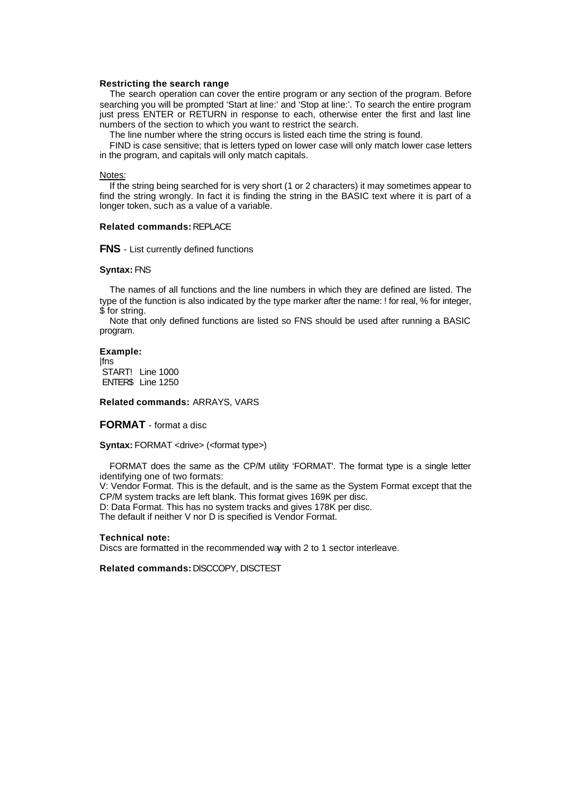## **Restricting the search range**

The search operation can cover the entire program or any section of the program. Before searching you will be prompted 'Start at line:' and 'Stop at line:'. To search the entire program just press ENTER or RETURN in response to each, otherwise enter the first and last line numbers of the section to which you want to restrict the search.

The line number where the string occurs is listed each time the string is found.

FIND is case sensitive; that is letters typed on lower case will only match lower case letters in the program, and capitals will only match capitals.

#### Notes:

If the string being searched for is very short (1 or 2 characters) it may sometimes appear to find the string wrongly. In fact it is finding the string in the BASIC text where it is part of a longer token, such as a value of a variable.

#### **Related commands:** REPLACE

#### **FNS** - List currently defined functions

# **Syntax:** FNS

The names of all functions and the line numbers in which they are defined are listed. The type of the function is also indicated by the type marker after the name: ! for real, % for integer, \$ for string.

Note that only defined functions are listed so FNS should be used after running a BASIC program.

#### **Example:**

|fns START! Line 1000 ENTER\$ Line 1250

**Related commands:** ARRAYS, VARS

**FORMAT** - format a disc

**Syntax:** FORMAT <drive> (<format type>)

FORMAT does the same as the CP/M utility 'FORMAT'. The format type is a single letter identifying one of two formats:

V: Vendor Format. This is the default, and is the same as the System Format except that the CP/M system tracks are left blank. This format gives 169K per disc.

D: Data Format. This has no system tracks and gives 178K per disc.

The default if neither V nor D is specified is Vendor Format.

#### **Technical note:**

Discs are formatted in the recommended way with 2 to 1 sector interleave.

**Related commands:** DISCCOPY, DISCTEST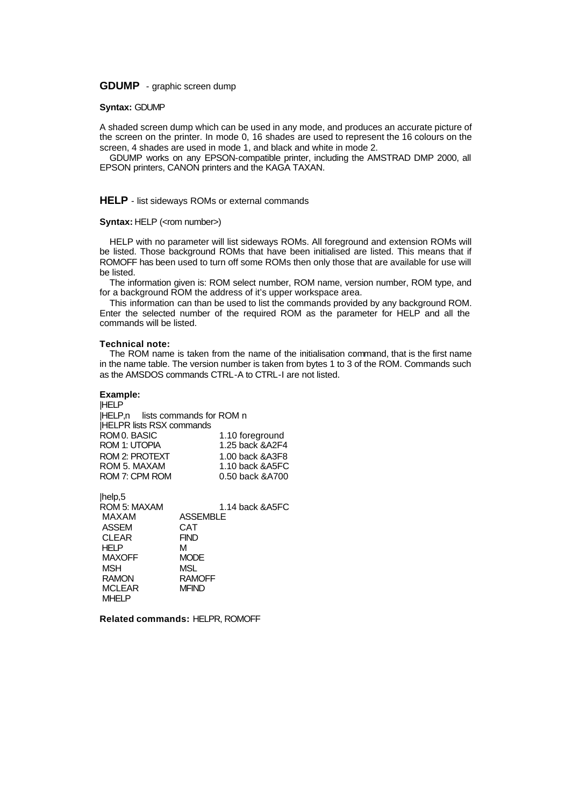**GDUMP** - graphic screen dump

# **Syntax:** GDUMP

A shaded screen dump which can be used in any mode, and produces an accurate picture of the screen on the printer. In mode 0, 16 shades are used to represent the 16 colours on the screen, 4 shades are used in mode 1, and black and white in mode 2.

GDUMP works on any EPSON-compatible printer, including the AMSTRAD DMP 2000, all EPSON printers, CANON printers and the KAGA TAXAN.

# **HELP** - list sideways ROMs or external commands

#### **Syntax: HELP (<rom number>)**

HELP with no parameter will list sideways ROMs. All foreground and extension ROMs will be listed. Those background ROMs that have been initialised are listed. This means that if ROMOFF has been used to turn off some ROMs then only those that are available for use will be listed.

The information given is: ROM select number, ROM name, version number, ROM type, and for a background ROM the address of it's upper workspace area.

This information can than be used to list the commands provided by any background ROM. Enter the selected number of the required ROM as the parameter for HELP and all the commands will be listed.

#### **Technical note:**

The ROM name is taken from the name of the initialisation command, that is the first name in the name table. The version number is taken from bytes 1 to 3 of the ROM. Commands such as the AMSDOS commands CTRL-A to CTRL-I are not listed.

#### **Example:**

 $|h_{\alpha}|_{\alpha}F$ 

|HELP |HELP,n lists commands for ROM n |HELPR lists RSX commands ROM 0. BASIC 1.10 foreground ROM 1: UTOPIA 1.25 back &A2F4 ROM 2: PROTEXT 1.00 back &A3F8<br>ROM 5. MAXAM 1.10 back &A5FC 1.10 back &A5FC ROM 7: CPM ROM 0.50 back &A700

| μισιμ,υ       |                  |
|---------------|------------------|
| ROM 5: MAXAM  | 1.14 back & A5FC |
| MAXAM         | <b>ASSEMBLE</b>  |
| <b>ASSEM</b>  | CAT              |
| <b>CLEAR</b>  | <b>FIND</b>      |
| HELP          | М                |
| <b>MAXOFF</b> | <b>MODE</b>      |
| MSH           | MSL              |
| <b>RAMON</b>  | <b>RAMOFF</b>    |
| <b>MCLEAR</b> | <b>MFIND</b>     |
| <b>MHELP</b>  |                  |

**Related commands:** HELPR, ROMOFF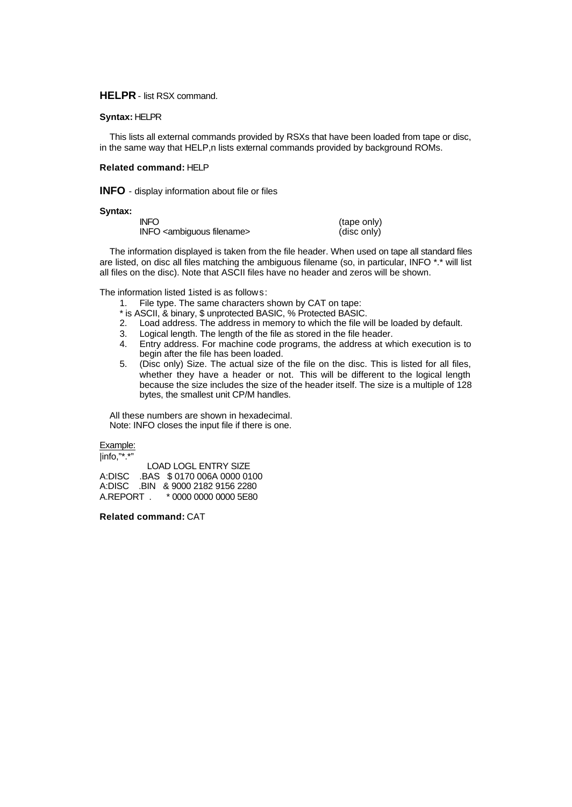# **HELPR** - list RSX command.

# **Syntax:** HELPR

This lists all external commands provided by RSXs that have been loaded from tape or disc, in the same way that HELP,n lists external commands provided by background ROMs.

# **Related command:** HELP

**INFO** - display information about file or files

#### **Syntax:**

| INFO.                                    | (tape only) |
|------------------------------------------|-------------|
| INFO <ambiguous filename=""></ambiguous> | (disc only) |

The information displayed is taken from the file header. When used on tape all standard files are listed, on disc all files matching the ambiguous filename (so, in particular, INFO \*.\* will list all files on the disc). Note that ASCII files have no header and zeros will be shown.

The information listed 1isted is as follows:

1. File type. The same characters shown by CAT on tape:

- \* is ASCII, & binary, \$ unprotected BASIC, % Protected BASIC.
- 2. Load address. The address in memory to which the file will be loaded by default.
- 3. Logical length. The length of the file as stored in the file header.<br>4. Entry address. For machine code programs, the address at wh
- 4. Entry address. For machine code programs, the address at which execution is to begin after the file has been loaded.
- 5. (Disc only) Size. The actual size of the file on the disc. This is listed for all files, whether they have a header or not. This will be different to the logical length because the size includes the size of the header itself. The size is a multiple of 128 bytes, the smallest unit CP/M handles.

All these numbers are shown in hexadecimal. Note: INFO closes the input file if there is one.

Example:

|info,"\*.\*" LOAD LOGL ENTRY SIZE A:DISC .BAS \$ 0170 006A 0000 0100 A:DISC .BIN & 9000 2182 9156 2280 A.REPORT . \* 0000 0000 0000 5E80

**Related command:** CAT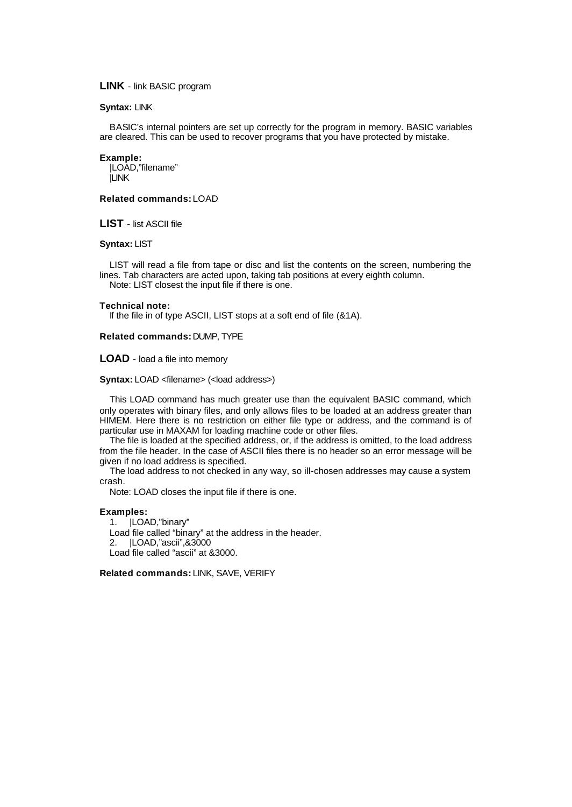# **LINK** - link BASIC program

#### **Syntax:** LINK

BASIC's internal pointers are set up correctly for the program in memory. BASIC variables are cleared. This can be used to recover programs that you have protected by mistake.

#### **Example:**

|LOAD,"filename" |LINK

# **Related commands:** LOAD

**LIST** - list ASCII file

#### **Syntax:** LIST

LIST will read a file from tape or disc and list the contents on the screen, numbering the lines. Tab characters are acted upon, taking tab positions at every eighth column. Note: LIST closest the input file if there is one.

#### **Technical note:**

If the file in of type ASCII, LIST stops at a soft end of file (&1A).

#### **Related commands:** DUMP, TYPE

#### **LOAD** - load a file into memory

#### **Syntax:** LOAD <filename> (<load address>)

This LOAD command has much greater use than the equivalent BASIC command, which only operates with binary files, and only allows files to be loaded at an address greater than HIMEM. Here there is no restriction on either file type or address, and the command is of particular use in MAXAM for loading machine code or other files.

The file is loaded at the specified address, or, if the address is omitted, to the load address from the file header. In the case of ASCII files there is no header so an error message will be given if no load address is specified.

The load address to not checked in any way, so ill-chosen addresses may cause a system crash.

Note: LOAD closes the input file if there is one.

#### **Examples:**

1. |LOAD,"binary" Load file called "binary" at the address in the header. 2. |LOAD,"ascii",&3000 Load file called "ascii" at &3000.

**Related commands:** LINK, SAVE, VERIFY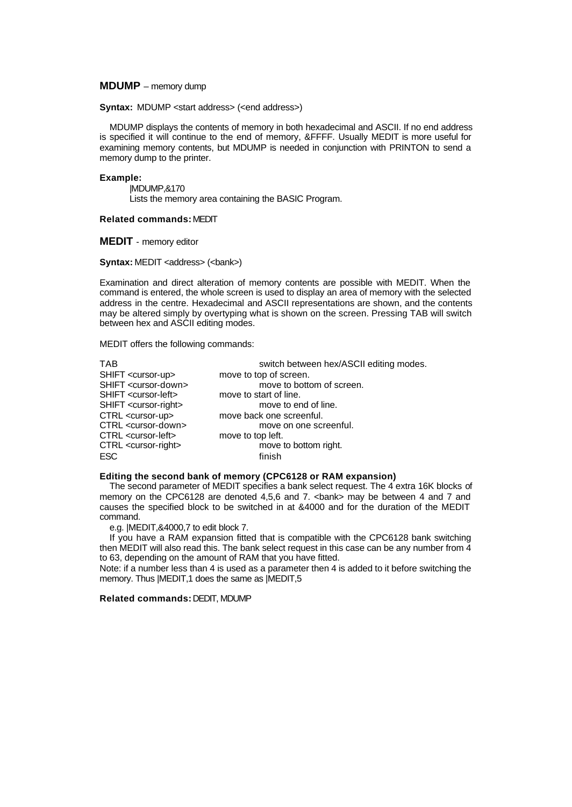# **MDUMP** – memory dump

**Syntax:** MDUMP <start address> (<end address>)

MDUMP displays the contents of memory in both hexadecimal and ASCII. If no end address is specified it will continue to the end of memory, &FFFF. Usually MEDIT is more useful for examining memory contents, but MDUMP is needed in conjunction with PRINTON to send a memory dump to the printer.

# **Example:**

|MDUMP,&170 Lists the memory area containing the BASIC Program.

# **Related commands:** MEDIT

**MEDIT** - memory editor

# **Syntax:** MEDIT <address> (<br/>bank>)

Examination and direct alteration of memory contents are possible with MEDIT. When the command is entered, the whole screen is used to display an area of memory with the selected address in the centre. Hexadecimal and ASCII representations are shown, and the contents may be altered simply by overtyping what is shown on the screen. Pressing TAB will switch between hex and ASCII editing modes.

MEDIT offers the following commands:

| SHIFT <cursor-up><br/>move to top of screen.</cursor-up>        |  |
|-----------------------------------------------------------------|--|
| SHIFT <cursor-down><br/>move to bottom of screen.</cursor-down> |  |
| SHIFT <cursor-left><br/>move to start of line.</cursor-left>    |  |
| SHIFT <cursor-right><br/>move to end of line.</cursor-right>    |  |
| CTRL <cursor-up><br/>move back one screenful.</cursor-up>       |  |
| CTRL <cursor-down><br/>move on one screenful.</cursor-down>     |  |
| CTRL <cursor-left><br/>move to top left.</cursor-left>          |  |
| CTRL <cursor-right><br/>move to bottom right.</cursor-right>    |  |
| ESC<br>finish                                                   |  |

#### **Editing the second bank of memory (CPC6128 or RAM expansion)**

The second parameter of MEDIT specifies a bank select request. The 4 extra 16K blocks of memory on the CPC6128 are denoted 4,5,6 and 7. <br/>bank> may be between 4 and 7 and causes the specified block to be switched in at &4000 and for the duration of the MEDIT command.

e.g. |MEDIT,&4000,7 to edit block 7.

If you have a RAM expansion fitted that is compatible with the CPC6128 bank switching then MEDIT will also read this. The bank select request in this case can be any number from 4 to 63, depending on the amount of RAM that you have fitted.

Note: if a number less than 4 is used as a parameter then 4 is added to it before switching the memory. Thus |MEDIT,1 does the same as |MEDIT,5

#### **Related commands:** DEDIT, MDUMP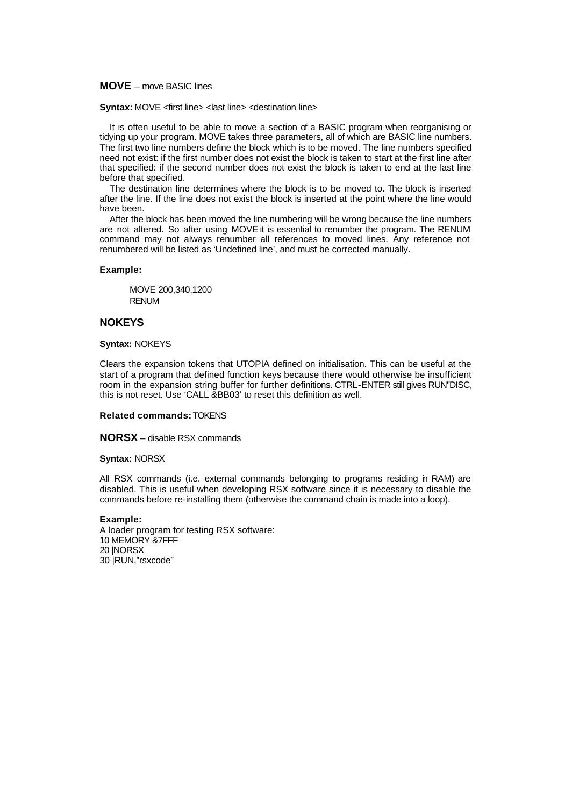# **MOVE** – move BASIC lines

**Syntax:** MOVE <first line> <last line> <destination line>

It is often useful to be able to move a section of a BASIC program when reorganising or tidying up your program. MOVE takes three parameters, all of which are BASIC line numbers. The first two line numbers define the block which is to be moved. The line numbers specified need not exist: if the first number does not exist the block is taken to start at the first line after that specified: if the second number does not exist the block is taken to end at the last line before that specified.

The destination line determines where the block is to be moved to. The block is inserted after the line. If the line does not exist the block is inserted at the point where the line would have been.

After the block has been moved the line numbering will be wrong because the line numbers are not altered. So after using MOVE it is essential to renumber the program. The RENUM command may not always renumber all references to moved lines. Any reference not renumbered will be listed as 'Undefined line', and must be corrected manually.

#### **Example:**

MOVE 200,340,1200 RENUM

# **NOKEYS**

**Syntax:** NOKEYS

Clears the expansion tokens that UTOPIA defined on initialisation. This can be useful at the start of a program that defined function keys because there would otherwise be insufficient room in the expansion string buffer for further definitions. CTRL-ENTER still gives RUN"DISC, this is not reset. Use 'CALL &BB03' to reset this definition as well.

# **Related commands:** TOKENS

**NORSX** – disable RSX commands

#### **Syntax:** NORSX

All RSX commands (i.e. external commands belonging to programs residing in RAM) are disabled. This is useful when developing RSX software since it is necessary to disable the commands before re-installing them (otherwise the command chain is made into a loop).

#### **Example:**

A loader program for testing RSX software: 10 MEMORY &7FFF 20 |NORSX 30 |RUN,"rsxcode"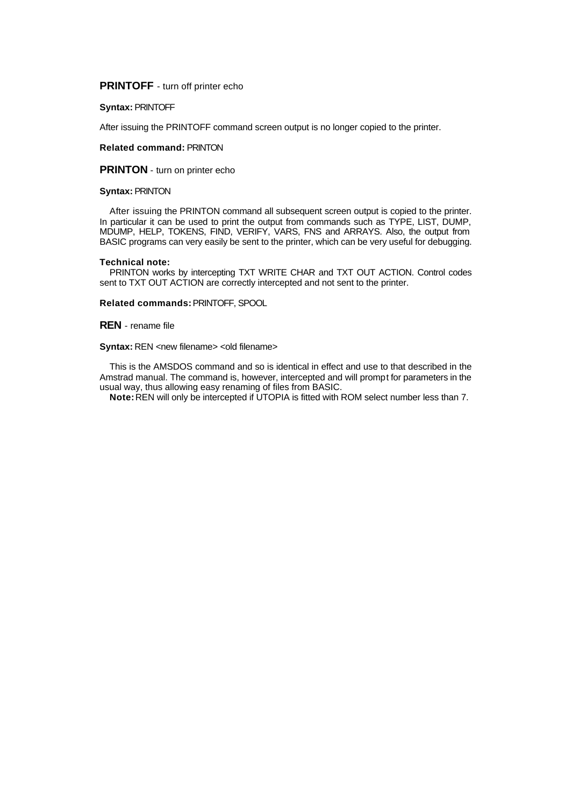**PRINTOFF** - turn off printer echo

**Syntax:** PRINTOFF

After issuing the PRINTOFF command screen output is no longer copied to the printer.

#### **Related command:** PRINTON

**PRINTON** - turn on printer echo

# **Syntax:** PRINTON

After issuing the PRINTON command all subsequent screen output is copied to the printer. In particular it can be used to print the output from commands such as TYPE, LIST, DUMP, MDUMP, HELP, TOKENS, FIND, VERIFY, VARS, FNS and ARRAYS. Also, the output from BASIC programs can very easily be sent to the printer, which can be very useful for debugging.

#### **Technical note:**

PRINTON works by intercepting TXT WRITE CHAR and TXT OUT ACTION. Control codes sent to TXT OUT ACTION are correctly intercepted and not sent to the printer.

**Related commands:** PRINTOFF, SPOOL

**REN** - rename file

**Syntax:** REN <new filename> <old filename>

This is the AMSDOS command and so is identical in effect and use to that described in the Amstrad manual. The command is, however, intercepted and will prompt for parameters in the usual way, thus allowing easy renaming of files from BASIC.

**Note:** REN will only be intercepted if UTOPIA is fitted with ROM select number less than 7.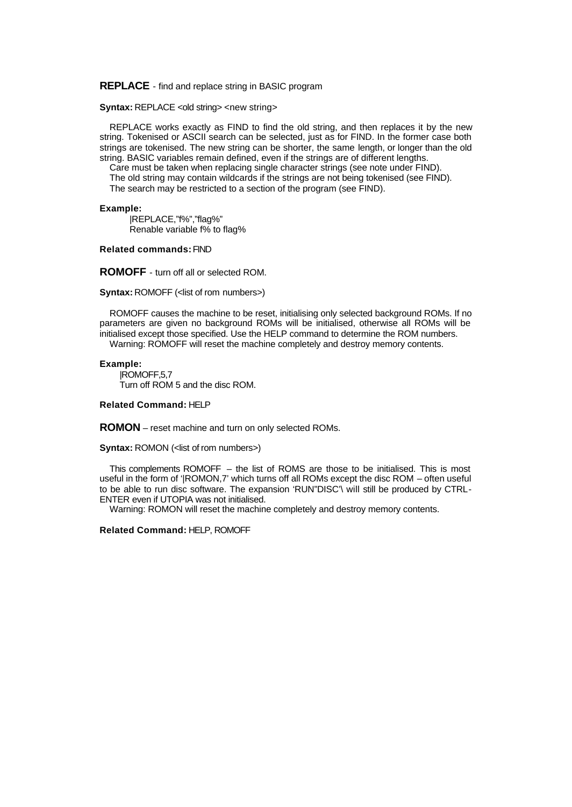**REPLACE** - find and replace string in BASIC program

**Syntax: REPLACE <old string> <new string>** 

REPLACE works exactly as FIND to find the old string, and then replaces it by the new string. Tokenised or ASCII search can be selected, just as for FIND. In the former case both strings are tokenised. The new string can be shorter, the same length, or longer than the old string. BASIC variables remain defined, even if the strings are of different lengths.

Care must be taken when replacing single character strings (see note under FIND). The old string may contain wildcards if the strings are not being tokenised (see FIND). The search may be restricted to a section of the program (see FIND).

#### **Example:**

|REPLACE,"f%","flag%" Renable variable f% to flag%

#### **Related commands:** FIND

**ROMOFF** - turn off all or selected ROM.

**Syntax: ROMOFF (<list of rom numbers>)** 

ROMOFF causes the machine to be reset, initialising only selected background ROMs. If no parameters are given no background ROMs will be initialised, otherwise all ROMs will be initialised except those specified. Use the HELP command to determine the ROM numbers. Warning: ROMOFF will reset the machine completely and destroy memory contents.

# **Example:**

|ROMOFF,5,7 Turn off ROM 5 and the disc ROM.

# **Related Command:** HELP

**ROMON** – reset machine and turn on only selected ROMs.

**Syntax:** ROMON (<list of rom numbers>)

This complements ROMOFF – the list of ROMS are those to be initialised. This is most useful in the form of '|ROMON,7' which turns off all ROMs except the disc ROM – often useful to be able to run disc software. The expansion 'RUN"DISC'\ will still be produced by CTRL-ENTER even if UTOPIA was not initialised.

Warning: ROMON will reset the machine completely and destroy memory contents.

# **Related Command:** HELP, ROMOFF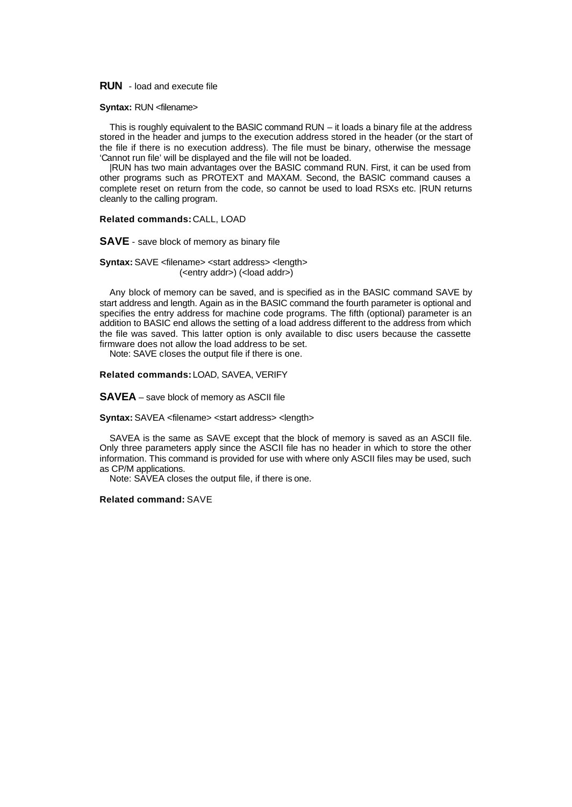# **RUN** - load and execute file

# **Syntax: RUN <filename>**

This is roughly equivalent to the BASIC command RUN – it loads a binary file at the address stored in the header and jumps to the execution address stored in the header (or the start of the file if there is no execution address). The file must be binary, otherwise the message 'Cannot run file' will be displayed and the file will not be loaded.

|RUN has two main advantages over the BASIC command RUN. First, it can be used from other programs such as PROTEXT and MAXAM. Second, the BASIC command causes a complete reset on return from the code, so cannot be used to load RSXs etc. |RUN returns cleanly to the calling program.

# **Related commands:** CALL, LOAD

#### **SAVE** - save block of memory as binary file

**Syntax:** SAVE <filename> <start address> <length> (<entry addr>) (<load addr>)

Any block of memory can be saved, and is specified as in the BASIC command SAVE by start address and length. Again as in the BASIC command the fourth parameter is optional and specifies the entry address for machine code programs. The fifth (optional) parameter is an addition to BASIC end allows the setting of a load address different to the address from which the file was saved. This latter option is only available to disc users because the cassette firmware does not allow the load address to be set.

Note: SAVE closes the output file if there is one.

# **Related commands:** LOAD, SAVEA, VERIFY

**SAVEA** – save block of memory as ASCII file

#### **Syntax:** SAVEA <filename> <start address> <length>

SAVEA is the same as SAVE except that the block of memory is saved as an ASCII file. Only three parameters apply since the ASCII file has no header in which to store the other information. This command is provided for use with where only ASCII files may be used, such as CP/M applications.

Note: SAVEA closes the output file, if there is one.

#### **Related command:** SAVE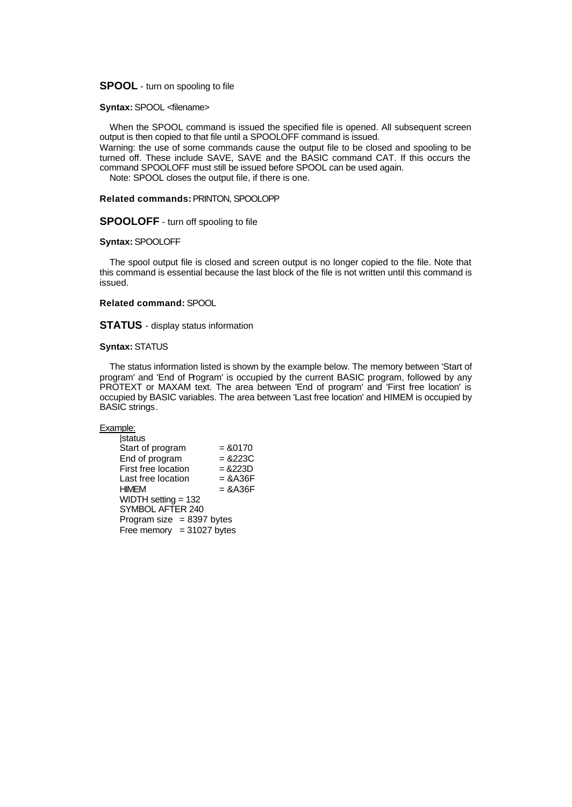# **SPOOL** - turn on spooling to file

#### **Syntax:** SPOOL <filename>

When the SPOOL command is issued the specified file is opened. All subsequent screen output is then copied to that file until a SPOOLOFF command is issued.

Warning: the use of some commands cause the output file to be closed and spooling to be turned off. These include SAVE, SAVE and the BASIC command CAT. If this occurs the command SPOOLOFF must still be issued before SPOOL can be used again.

Note: SPOOL closes the output file, if there is one.

# **Related commands:** PRINTON, SPOOLOPP

# **SPOOLOFF** - turn off spooling to file

#### **Syntax:** SPOOLOFF

The spool output file is closed and screen output is no longer copied to the file. Note that this command is essential because the last block of the file is not written until this command is issued.

#### **Related command:** SPOOL

**STATUS** - display status information

# **Syntax:** STATUS

The status information listed is shown by the example below. The memory between 'Start of program' and 'End of Program' is occupied by the current BASIC program, followed by any PROTEXT or MAXAM text. The area between 'End of program' and 'First free location' is occupied by BASIC variables. The area between 'Last free location' and HIMEM is occupied by BASIC strings.

# Example:

| <b>status</b>               |            |
|-----------------------------|------------|
| Start of program            | $= 80170$  |
| End of program              | $= 8223C$  |
| First free location         | $= 8223D$  |
| Last free location          | $=$ & A36F |
| HIMFM                       | $=$ & A36F |
| WIDTH setting = 132         |            |
| SYMBOL AFTER 240            |            |
| Program size $= 8397$ bytes |            |
| Free memory $=$ 31027 bytes |            |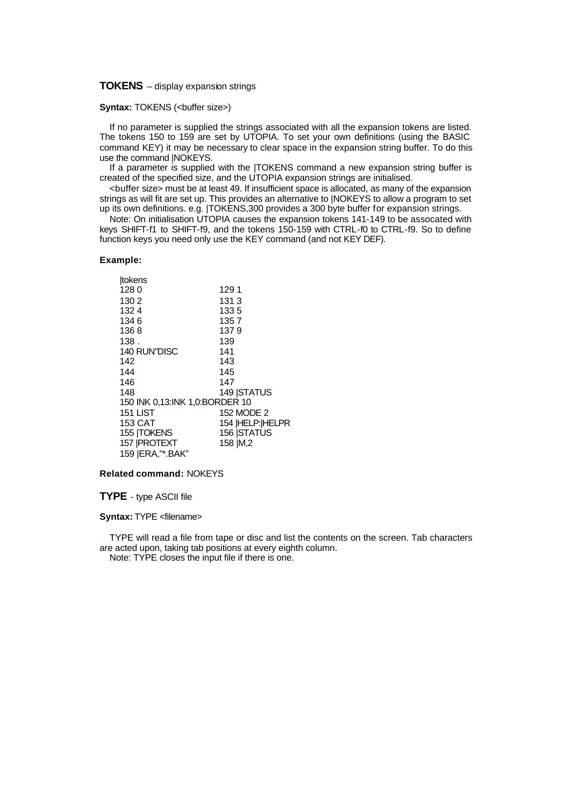# **TOKENS** – display expansion strings

# **Syntax: TOKENS (<br/>buffer size>)**

If no parameter is supplied the strings associated with all the expansion tokens are listed. The tokens 150 to 159 are set by UTOPIA. To set your own definitions (using the BASIC command KEY) it may be necessary to clear space in the expansion string buffer. To do this use the command |NOKEYS.

If a parameter is supplied with the |TOKENS command a new expansion string buffer is created of the specified size, and the UTOPIA expansion strings are initialised.

<buffer size> must be at least 49. If insufficient space is allocated, as many of the expansion strings as will fit are set up. This provides an alternative to |NOKEYS to allow a program to set up its own definitions. e.g. |TOKENS,300 provides a 300 byte buffer for expansion strings.

Note: On initialisation UTOPIA causes the expansion tokens 141-149 to be assocated with keys SHIFT-f1 to SHIFT-f9, and the tokens 150-159 with CTRL-f0 to CTRL-f9. So to define function keys you need only use the KEY command (and not KEY DEF).

#### **Example:**

| tokens                         |                  |
|--------------------------------|------------------|
| 1280                           | 1291             |
| 130 2                          | 1313             |
| 1324                           | 1335             |
| 1346                           | 1357             |
| 1368                           | 1379             |
| 138.                           | 139              |
| 140 RUN"DISC                   | 141              |
| 142                            | 143              |
| 144                            | 145              |
| 146                            | 147              |
| 148                            | 149   STATUS     |
| 150 INK 0,13:INK 1,0:BORDER 10 |                  |
| <b>151 LIST</b>                | 152 MODE 2       |
| 153 CAT                        | 154  HELP: HELPR |
| 155  TOKENS                    | 156   STATUS     |
| 157   PROTEXT                  | 158   M, 2       |
| 159   ERA,"*. BAK"             |                  |

# **Related command:** NOKEYS

# **TYPE** - type ASCII file

# **Syntax:** TYPE <filename>

TYPE will read a file from tape or disc and list the contents on the screen. Tab characters are acted upon, taking tab positions at every eighth column.

Note: TYPE closes the input file if there is one.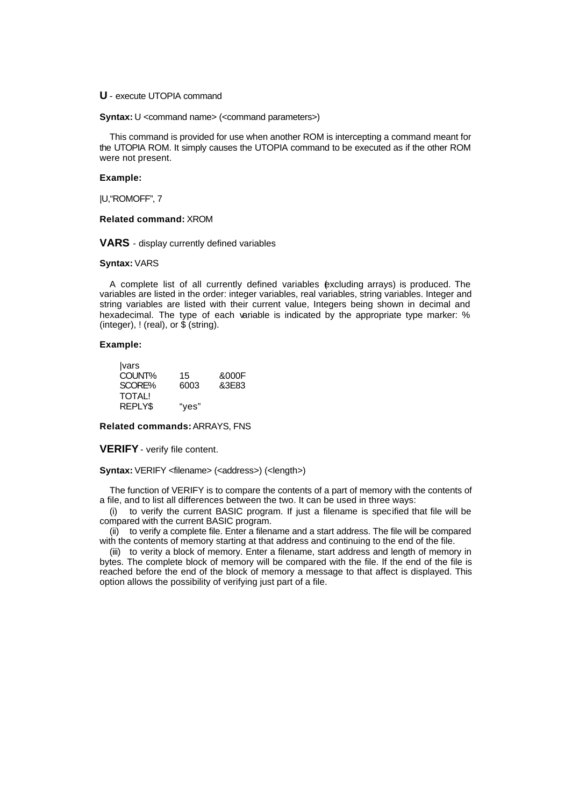# **U** - execute UTOPIA command

**Syntax:** U <command name> (<command parameters>)

This command is provided for use when another ROM is intercepting a command meant for the UTOPIA ROM. It simply causes the UTOPIA command to be executed as if the other ROM were not present.

# **Example:**

|U,"ROMOFF", 7

# **Related command:** XROM

**VARS** - display currently defined variables

#### **Syntax:** VARS

A complete list of all currently defined variables (excluding arrays) is produced. The variables are listed in the order: integer variables, real variables, string variables. Integer and string variables are listed with their current value, Integers being shown in decimal and hexadecimal. The type of each variable is indicated by the appropriate type marker: % (integer),  $!$  (real), or  $\hat{\$}$  (string).

#### **Example:**

| <i>vars</i> |       |       |
|-------------|-------|-------|
| COUNT%      | 15    | &000F |
| SCORE%      | 6003  | &3E83 |
| TOTAL!      |       |       |
| REPLY\$     | "ves" |       |

**Related commands:** ARRAYS, FNS

**VERIFY**- verify file content.

**Syntax:** VERIFY <filename> (<address>) (<length>)

The function of VERIFY is to compare the contents of a part of memory with the contents of a file, and to list all differences between the two. It can be used in three ways:

(i) to verify the current BASIC program. If just a filename is specified that file will be compared with the current BASIC program.

(ii) to verify a complete file. Enter a filename and a start address. The file will be compared with the contents of memory starting at that address and continuing to the end of the file.

(iii) to verity a block of memory. Enter a filename, start address and length of memory in bytes. The complete block of memory will be compared with the file. If the end of the file is reached before the end of the block of memory a message to that affect is displayed. This option allows the possibility of verifying just part of a file.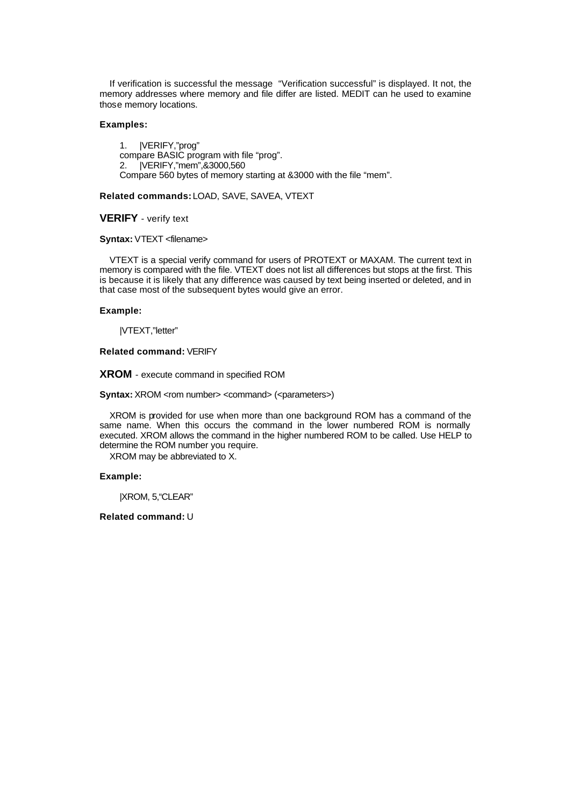If verification is successful the message "Verification successful" is displayed. It not, the memory addresses where memory and file differ are listed. MEDIT can he used to examine those memory locations.

# **Examples:**

1. |VERIFY,"prog" compare BASIC program with file "prog". 2. |VERIFY,"mem",&3000,560 Compare 560 bytes of memory starting at &3000 with the file "mem".

# **Related commands:** LOAD, SAVE, SAVEA, VTEXT

# **VERIFY** - verify text

#### **Syntax:** VTEXT <filename>

VTEXT is a special verify command for users of PROTEXT or MAXAM. The current text in memory is compared with the file. VTEXT does not list all differences but stops at the first. This is because it is likely that any difference was caused by text being inserted or deleted, and in that case most of the subsequent bytes would give an error.

# **Example:**

|VTEXT,"letter"

# **Related command:** VERIFY

**XROM** - execute command in specified ROM

**Syntax:** XROM <rom number> <command> (<parameters>)

XROM is provided for use when more than one background ROM has a command of the same name. When this occurs the command in the lower numbered ROM is normally executed. XROM allows the command in the higher numbered ROM to be called. Use HELP to determine the ROM number you require.

XROM may be abbreviated to X.

#### **Example:**

|XROM, 5,"CLEAR"

#### **Related command:** U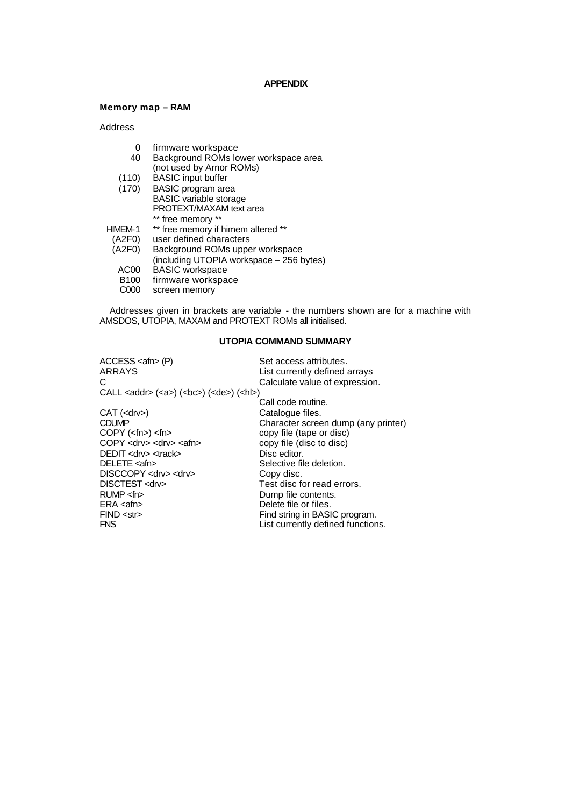#### **APPENDIX**

# **Memory map – RAM**

Address

- 0 firmware workspace
- 40 Background ROMs lower workspace area (not used by Arnor ROMs)
- (110) BASIC input buffer
- (170) BASIC program area BASIC variable storage PROTEXT/MAXAM text area \*\* free memory \*\*
- HIMEM-1 \*\* free memory if himem altered \*\*
- (A2F0) user defined characters
- Background ROMs upper workspace
- (including UTOPIA workspace 256 bytes)
- AC00 BASIC workspace
- B100 firmware workspace
- C000 screen memory

Addresses given in brackets are variable - the numbers shown are for a machine with AMSDOS, UTOPIA, MAXAM and PROTEXT ROMs all initialised.

# **UTOPIA COMMAND SUMMARY**

| ACCESS <afn> (P)</afn>                                           | Set access attributes.              |
|------------------------------------------------------------------|-------------------------------------|
| ARRAYS                                                           | List currently defined arrays       |
| C.                                                               | Calculate value of expression.      |
| CALL <addr> (<a>) (<bc>) (<de>) (<hl>)</hl></de></bc></a></addr> |                                     |
|                                                                  | Call code routine.                  |
| CAT ( <drv>)</drv>                                               | Catalogue files.                    |
| CDUMP                                                            | Character screen dump (any printer) |
| COPY ( <fn>) <fn></fn></fn>                                      | copy file (tape or disc)            |
| COPY <drv> <drv> <afn></afn></drv></drv>                         | copy file (disc to disc)            |
| DEDIT <drv> <track/></drv>                                       | Disc editor.                        |
| DELETE <afn></afn>                                               | Selective file deletion.            |
| DISCCOPY <drv> <drv></drv></drv>                                 | Copy disc.                          |
| DISCTEST <drv></drv>                                             | Test disc for read errors.          |
| RUMP < m                                                         | Dump file contents.                 |
| ERA <afn></afn>                                                  | Delete file or files.               |
| FIND < str                                                       | Find string in BASIC program.       |
| FNS                                                              | List currently defined functions.   |
|                                                                  |                                     |